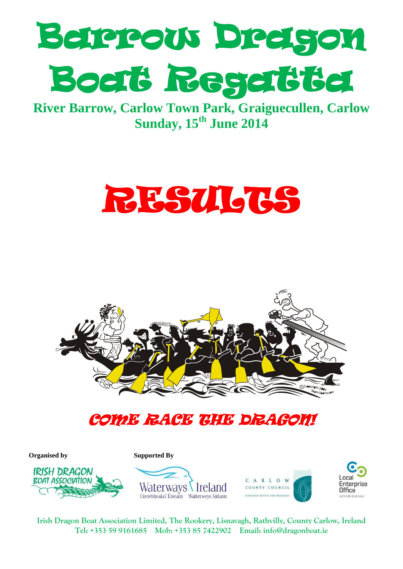

**River Barrow, Carlow Town Park, Graiguecullen, Carlow Sunday, 15th June 2014**





# COME RACE THE DRAGON!

**Organised by Supported By** 









**Irish Dragon Boat Association Limited, The Rookery, Lisnavagh, Rathvilly, County Carlow, Ireland Tel: +353 59 9161685 Mob: +353 85 7422902 Email: [info@dragonboat.ie](mailto:info@dragonboat.ie)**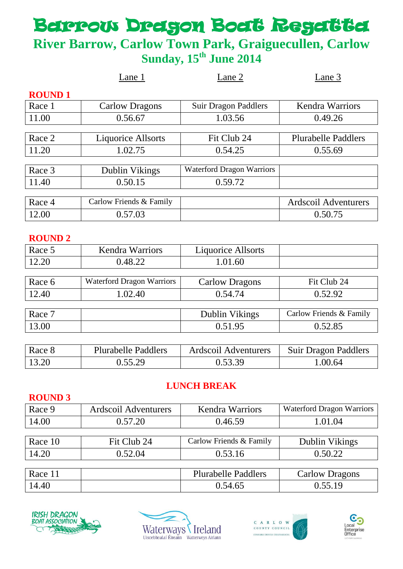# **Barrow Dragon Boat Regatte**

# **River Barrow, Carlow Town Park, Graiguecullen, Carlow Sunday, 15th June 2014**

|               | Lane 1                    | Lane 2                           | Lane 3                     |
|---------------|---------------------------|----------------------------------|----------------------------|
| <b>ROUND1</b> |                           |                                  |                            |
| Race 1        | <b>Carlow Dragons</b>     | <b>Suir Dragon Paddlers</b>      | <b>Kendra Warriors</b>     |
| 11.00         | 0.56.67                   | 1.03.56                          | 0.49.26                    |
|               |                           |                                  |                            |
| Race 2        | <b>Liquorice Allsorts</b> | Fit Club 24                      | <b>Plurabelle Paddlers</b> |
| 11.20         | 1.02.75                   | 0.54.25                          | 0.55.69                    |
|               |                           |                                  |                            |
| Race 3        | Dublin Vikings            | <b>Waterford Dragon Warriors</b> |                            |
| 11.40         | 0.50.15                   | 0.59.72                          |                            |
|               |                           |                                  |                            |
| Race 4        | Carlow Friends & Family   |                                  | Ardscoil Adventurers       |
| 12.00         | 0.57.03                   |                                  | 0.50.75                    |

#### **ROUND 2**

| Race 5 | <b>Kendra Warriors</b>    | <b>Liquorice Allsorts</b> |                         |
|--------|---------------------------|---------------------------|-------------------------|
| 12.20  | 0.48.22                   | 1.01.60                   |                         |
|        |                           |                           |                         |
| Race 6 | Waterford Dragon Warriors | <b>Carlow Dragons</b>     | Fit Club 24             |
| 12.40  | 1.02.40                   | 0.54.74                   | 0.52.92                 |
|        |                           |                           |                         |
| Race 7 |                           | Dublin Vikings            | Carlow Friends & Family |
| 13.00  |                           | 0.51.95                   | 0.52.85                 |
|        |                           |                           |                         |

| Race 8 | <b>Plurabelle Paddlers</b> | Ardscoil Adventurers | Suir Dragon Paddlers |
|--------|----------------------------|----------------------|----------------------|
| 13.20  | 0.55.29                    | 0.53.39              | 1.00.64              |

## **LUNCH BREAK**

## **ROUND 3** Race 9 Ardscoil Adventurers | Kendra Warriors | Waterford Dragon Warriors 14.00 0.57.20 0.46.59 1.01.04 Race 10 Fit Club 24 Carlow Friends & Family Dublin Vikings 14.20 0.52.04 0.53.16 0.50.22 Race 11 | Plurabelle Paddlers | Carlow Dragons





14.40 0.55.19